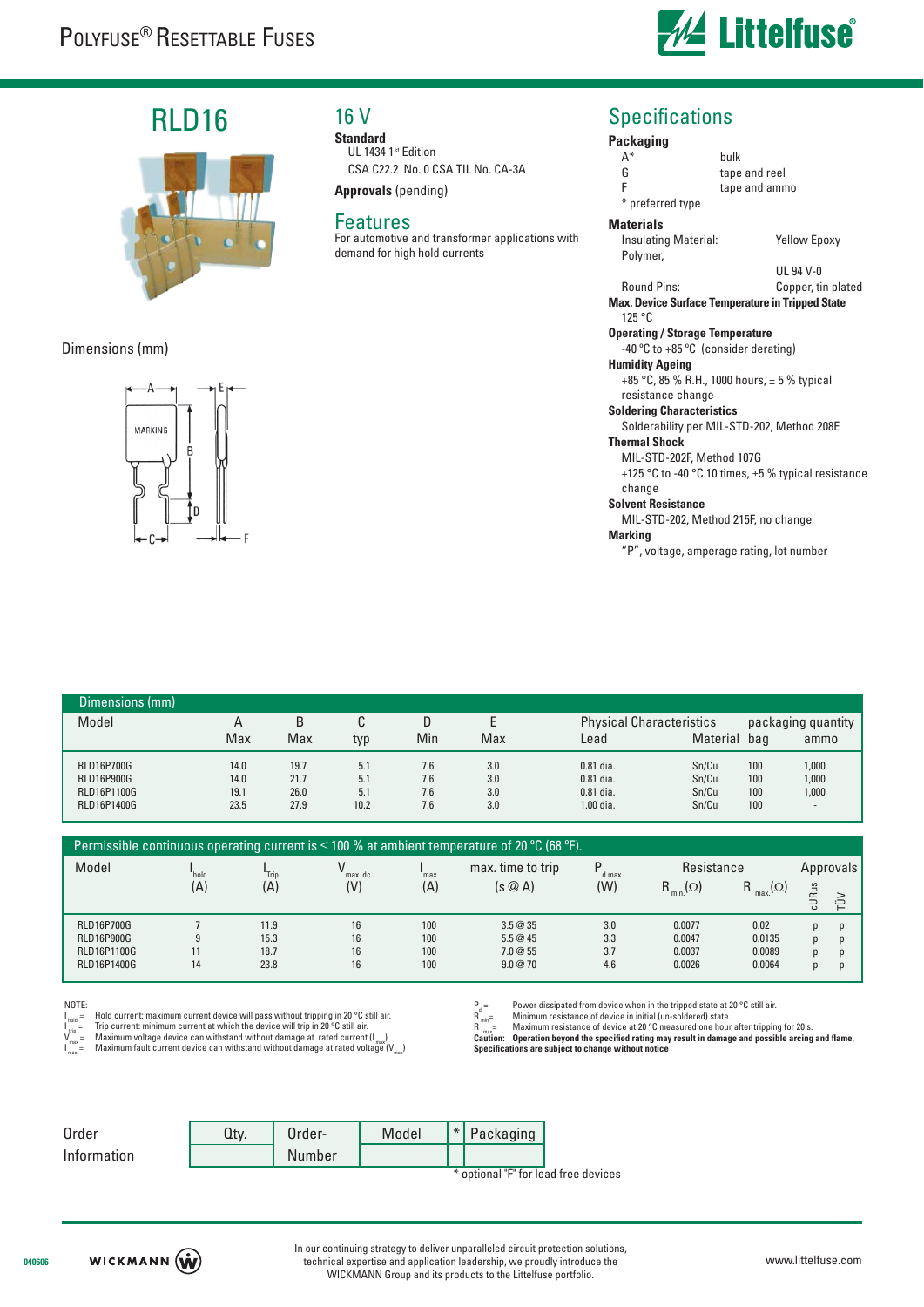

## RLD16



#### Dimensions (mm)



## 16 V

**Standard** UL 1434 1st Edition CSA C22.2 No. 0 CSA TIL No. CA-3A

**Approvals** (pending)

#### Features

For automotive and transformer applications with demand for high hold currents

### **Specifications**

#### **Packaging** A\* bulk G tape and reel<br>F tape and amn tape and ammo \* preferred type **Materials** Insulating Material: Yellow Epoxy Polymer, UL 94 V-0 Round Pins: Copper, tin plated **Max. Device Surface Temperature in Tripped State** 125 °C **Operating / Storage Temperature** -40 ºC to +85 ºC (consider derating) **Humidity Ageing** +85 °C, 85 % R.H., 1000 hours, ± 5 % typical resistance change **Soldering Characteristics** Solderability per MIL-STD-202, Method 208E **Thermal Shock** MIL-STD-202F, Method 107G

+125 °C to -40 °C 10 times, ±5 % typical resistance change

#### **Solvent Resistance**

MIL-STD-202, Method 215F, no change

**Marking**

"P", voltage, amperage rating, lot number

| Dimensions (mm)   |      |      |      |     |     |             |                                 |     |                          |  |  |
|-------------------|------|------|------|-----|-----|-------------|---------------------------------|-----|--------------------------|--|--|
| Model             | A    | B    |      | D   |     |             | <b>Physical Characteristics</b> |     | packaging quantity       |  |  |
|                   | Max  | Max  | typ  | Min | Max | -ead        | Material                        | bag | ammo                     |  |  |
| <b>RLD16P700G</b> | 14.0 | 19.7 | 5.1  | 7.6 | 3.0 | $0.81$ dia. | Sn/Cu                           | 100 | 1,000                    |  |  |
| <b>RLD16P900G</b> | 14.0 | 21.7 | 5.1  | 7.6 | 3.0 | $0.81$ dia. | Sn/Cu                           | 100 | 1,000                    |  |  |
| RLD16P1100G       | 19.1 | 26.0 | 5.1  | 7.6 | 3.0 | $0.81$ dia. | Sn/Cu                           | 100 | 1,000                    |  |  |
| RLD16P1400G       | 23.5 | 27.9 | 10.2 | 7.6 | 3.0 | 1.00 dia.   | Sn/Cu                           | 100 | $\overline{\phantom{a}}$ |  |  |

| Permissible continuous operating current is $\leq$ 100 % at ambient temperature of 20 °C (68 °F). |       |       |         |      |                   |             |                                     |                          |           |        |  |
|---------------------------------------------------------------------------------------------------|-------|-------|---------|------|-------------------|-------------|-------------------------------------|--------------------------|-----------|--------|--|
| Model                                                                                             | *hold | "Trip | max. dc | max. | max. time to trip | D<br>d max. | Resistance                          |                          | Approvals |        |  |
|                                                                                                   | (A)   | (A)   | (V)     | (A)  | $(s \oslash A)$   | (W)         | R.<br>$\lim_{\text{min.}} (\Omega)$ | $R_{\text{max}}(\Omega)$ | cURus     | $\geq$ |  |
| <b>RLD16P700G</b>                                                                                 |       | 11.9  | 16      | 100  | 3.5@35            | 3.0         | 0.0077                              | 0.02                     | p         |        |  |
| <b>RLD16P900G</b>                                                                                 | 9     | 15.3  | 16      | 100  | 5.5@45            | 3.3         | 0.0047                              | 0.0135                   | p         |        |  |
| RLD16P1100G                                                                                       | 11    | 18.7  | 16      | 100  | 7.0@55            | 3.7         | 0.0037                              | 0.0089                   | p         |        |  |
| RLD16P1400G                                                                                       | 14    | 23.8  | 16      | 100  | 9.0@70            | 4.6         | 0.0026                              | 0.0064                   | p         |        |  |

#### NOTE:

I Hold current: maximum current device will pass without tripping in 20 °C still air.

l <sub>trip</sub> = Trip current: minimum current at which the device will trip in 20 °C still air.<br>V<sub>max</sub> = Maximum voltage device can withstand without damage at rated current (I <sub>max</sub>)

I Maximum fault current device can withstand without damage at rated voltage  $(V_{\text{max}})$ 

 $R^d_{min}$ =  $P_d =$  Power dissipated from device when in the tripped state at 20 °C still air.<br>R<sub>min</sub>= Minimum resistance of device in initial (un-soldered) state.

 $R_{\text{max}}^{\text{min}}$  Maximum resistance of device at 20 °C measured one hour after tripping for 20 s.

**Caution:** Operation beyond the specified rating may result in damage and possible arcing and flame<br>Specifications are subject to change without notice **Specifi cations are subject to change without notice**

| Order       | Qtv. | $Order-$ | Model | $*$ Packaging                        |
|-------------|------|----------|-------|--------------------------------------|
| Information |      | Number   |       |                                      |
|             |      |          |       | * optional "F" for lead free devices |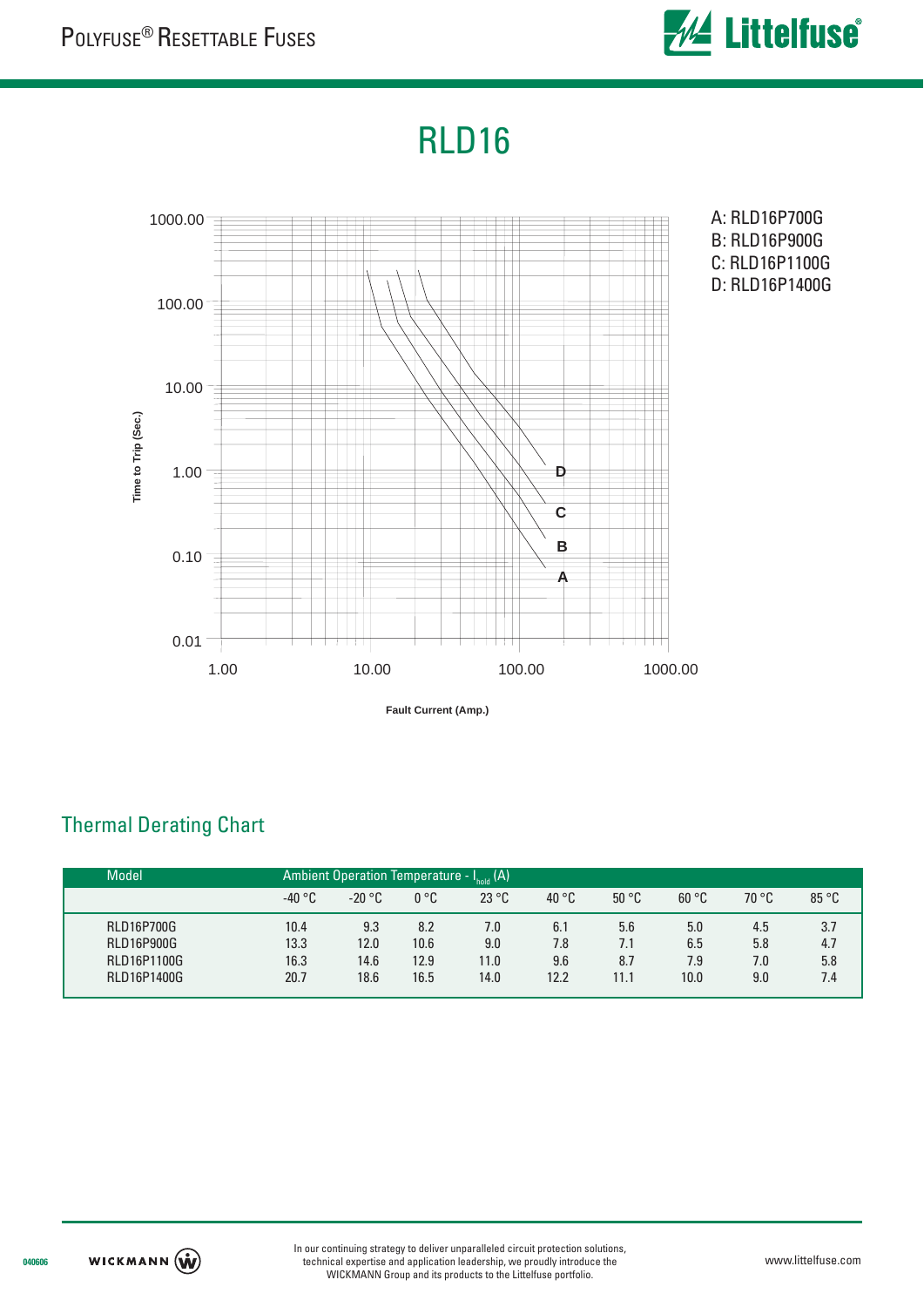

# RLD16



**Fault Current (Amp.)**

## Thermal Derating Chart

| <b>Model</b>      |          | Ambient Operation Temperature - I <sub>hold</sub> (A) |      |       |       |       |       |       |       |  |  |
|-------------------|----------|-------------------------------------------------------|------|-------|-------|-------|-------|-------|-------|--|--|
|                   | $-40 °C$ | $-20 °C$                                              | 0 °C | 23 °C | 40 °C | 50 °C | 60 °C | 70 °C | 85 °C |  |  |
| <b>RLD16P700G</b> | 10.4     | 9.3                                                   | 8.2  | 7.0   | 6.1   | 5.6   | 5.0   | 4.5   | 3.7   |  |  |
| <b>RLD16P900G</b> | 13.3     | 12.0                                                  | 10.6 | 9.0   | 7.8   | 7.1   | 6.5   | 5.8   | 4.7   |  |  |
| RLD16P1100G       | 16.3     | 14.6                                                  | 12.9 | 11.0  | 9.6   | 8.7   | 7.9   | 7.0   | 5.8   |  |  |
| RLD16P1400G       | 20.7     | 18.6                                                  | 16.5 | 14.0  | 12.2  | 11.1  | 10.0  | 9.0   | 7.4   |  |  |